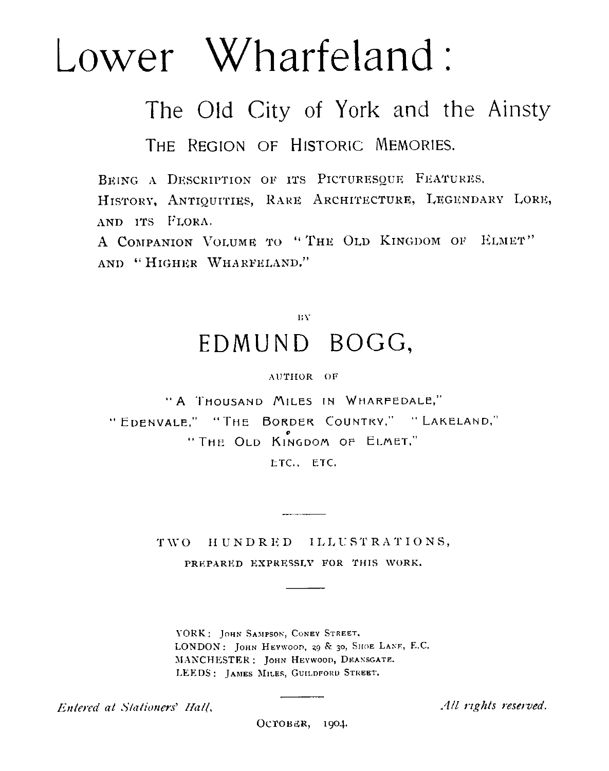# Lower Wharfeland

The Old City of York and the Ainsty THE REGION OF HISTORIC MEMORIES.

BEING A DESCRIPTION OF ITS PICTURESQUE FEATURES, HISTORY, ANTIQUITIES, RARE ARCHITECTURE, LEGENDARY LORE, AND ITS FLORA.

A COMPANION VOLUME TO " THE OLD KINGDOM OF ELMET" AND " HIGHER WHARFELAND."

## BY EDMUND BOGG,

#### AUTHOR OF

" A THOUSAND MILES IN WHARFEDALE," " EDENVALE," "THE BORDER COUNTRY," " LAKELAND," " THE OLD KINGDOM OF ELMET,"

ETC., ETC.

TWO HUNDRED ILLUSTRATIONS, PREPARED EXPRESSLY FOR THIS WORK.

YORK: JOHN SAMPSON, CONEY STREET. LONDON: JOHN HEYWOOD, 29 & 30, SHOE LANE, E.C. MANCHESTER: JOHN HEYWOOD, DEANSGATE. LEEDS: JAMES MILES, GUILDFORD STREET.

Entered at Stationers' Hall,  $\overline{\text{OCTOBER}}$ , 1904. All rights reserved.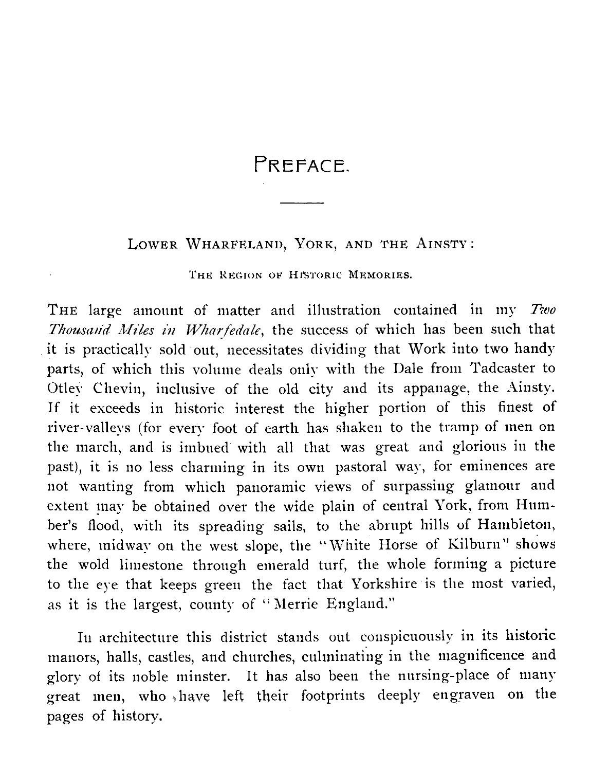## PREFACE.

### LOWER WHARFELAND, YORK, AND THE AINSTY :

THE REGION OF HISTORIC MEMORIES.

THE large amount of matter and illustration contained in my *Two \_Thousand Miles in Wharfedale,* the success of which has been such that it is practically sold out, necessitates dividing that Work into two handy parts, of which this volume deals only with the Dale from Tadcaster to Otley Chevin, inclusive of the old city and its appanage, the Ainsty. If it exceeds in historic interest the higher portion of this finest of river-valleys (for every foot of earth has shaken to the tramp of men on the march, and is imbued with all that was great and glorious in the past), it is no less charming in its own pastoral way, for eminences are not wanting from which panoramic views of surpassing glamour and extent may be obtained over the wide plain of central York, from Humber's flood, with its spreading sails, to the abrupt hills of Hambleton, where, midway on the west slope, the "White Horse of Kilburn" shows the wold limestone through emerald turf, the whole forming a picture to the eye that keeps green the fact that Yorkshire is the most varied, as it is the largest, county of " Merrie England."

In architecture this district stands out conspicuously in its historic manors, halls, castles, and churches, culminating in the magnificence and glory of its noble minster. It has also been the nursing-place of many great men, who have left their footprints deeply engraven on the pages of history.